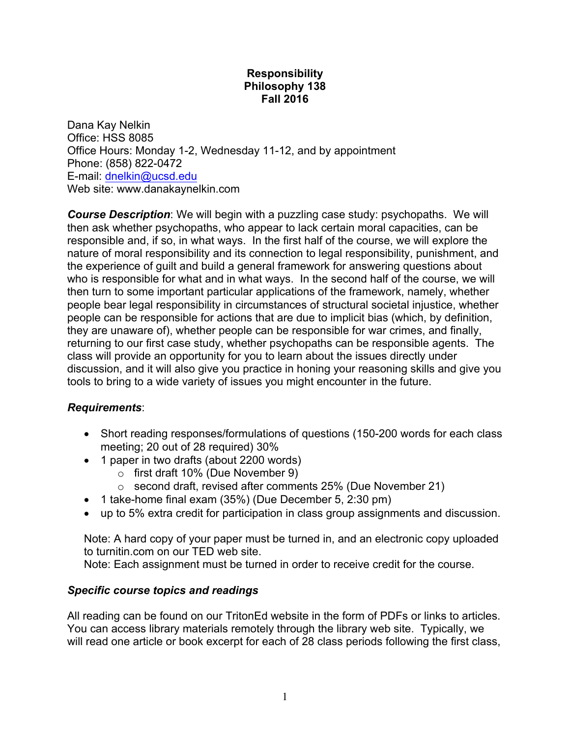#### **Responsibility Philosophy 138 Fall 2016**

Dana Kay Nelkin Office: HSS 8085 Office Hours: Monday 1-2, Wednesday 11-12, and by appointment Phone: (858) 822-0472 E-mail: dnelkin@ucsd.edu Web site: www.danakaynelkin.com

*Course Description*: We will begin with a puzzling case study: psychopaths. We will then ask whether psychopaths, who appear to lack certain moral capacities, can be responsible and, if so, in what ways. In the first half of the course, we will explore the nature of moral responsibility and its connection to legal responsibility, punishment, and the experience of guilt and build a general framework for answering questions about who is responsible for what and in what ways. In the second half of the course, we will then turn to some important particular applications of the framework, namely, whether people bear legal responsibility in circumstances of structural societal injustice, whether people can be responsible for actions that are due to implicit bias (which, by definition, they are unaware of), whether people can be responsible for war crimes, and finally, returning to our first case study, whether psychopaths can be responsible agents. The class will provide an opportunity for you to learn about the issues directly under discussion, and it will also give you practice in honing your reasoning skills and give you tools to bring to a wide variety of issues you might encounter in the future.

#### *Requirements*:

- Short reading responses/formulations of questions (150-200 words for each class meeting; 20 out of 28 required) 30%
- 1 paper in two drafts (about 2200 words)
	- o first draft 10% (Due November 9)
	- o second draft, revised after comments 25% (Due November 21)
- 1 take-home final exam (35%) (Due December 5, 2:30 pm)
- up to 5% extra credit for participation in class group assignments and discussion.

Note: A hard copy of your paper must be turned in, and an electronic copy uploaded to turnitin.com on our TED web site.

Note: Each assignment must be turned in order to receive credit for the course.

#### *Specific course topics and readings*

All reading can be found on our TritonEd website in the form of PDFs or links to articles. You can access library materials remotely through the library web site. Typically, we will read one article or book excerpt for each of 28 class periods following the first class,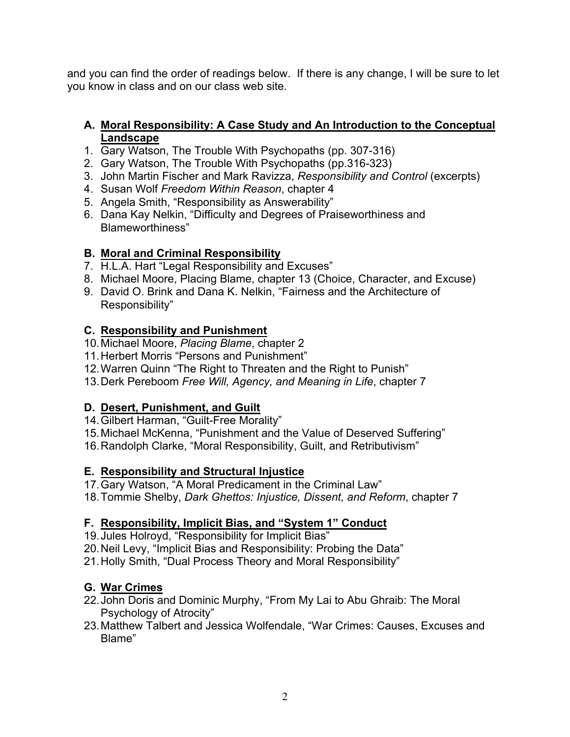and you can find the order of readings below. If there is any change, I will be sure to let you know in class and on our class web site.

#### **A. Moral Responsibility: A Case Study and An Introduction to the Conceptual Landscape**

- 1. Gary Watson, The Trouble With Psychopaths (pp. 307-316)
- 2. Gary Watson, The Trouble With Psychopaths (pp.316-323)
- 3. John Martin Fischer and Mark Ravizza, *Responsibility and Control* (excerpts)
- 4. Susan Wolf *Freedom Within Reason*, chapter 4
- 5. Angela Smith, "Responsibility as Answerability"
- 6. Dana Kay Nelkin, "Difficulty and Degrees of Praiseworthiness and Blameworthiness"

## **B. Moral and Criminal Responsibility**

- 7. H.L.A. Hart "Legal Responsibility and Excuses"
- 8. Michael Moore, Placing Blame, chapter 13 (Choice, Character, and Excuse)
- 9. David O. Brink and Dana K. Nelkin, "Fairness and the Architecture of Responsibility"

## **C. Responsibility and Punishment**

- 10.Michael Moore, *Placing Blame*, chapter 2
- 11.Herbert Morris "Persons and Punishment"
- 12.Warren Quinn "The Right to Threaten and the Right to Punish"
- 13.Derk Pereboom *Free Will, Agency, and Meaning in Life*, chapter 7

## **D. Desert, Punishment, and Guilt**

- 14.Gilbert Harman, "Guilt-Free Morality"
- 15.Michael McKenna, "Punishment and the Value of Deserved Suffering"
- 16.Randolph Clarke, "Moral Responsibility, Guilt, and Retributivism"

## **E. Responsibility and Structural Injustice**

- 17.Gary Watson, "A Moral Predicament in the Criminal Law"
- 18.Tommie Shelby, *Dark Ghettos: Injustice, Dissent, and Reform*, chapter 7

## **F. Responsibility, Implicit Bias, and "System 1" Conduct**

- 19.Jules Holroyd, "Responsibility for Implicit Bias"
- 20.Neil Levy, "Implicit Bias and Responsibility: Probing the Data"
- 21.Holly Smith, "Dual Process Theory and Moral Responsibility"

# **G. War Crimes**

- 22.John Doris and Dominic Murphy, "From My Lai to Abu Ghraib: The Moral Psychology of Atrocity"
- 23.Matthew Talbert and Jessica Wolfendale, "War Crimes: Causes, Excuses and Blame"